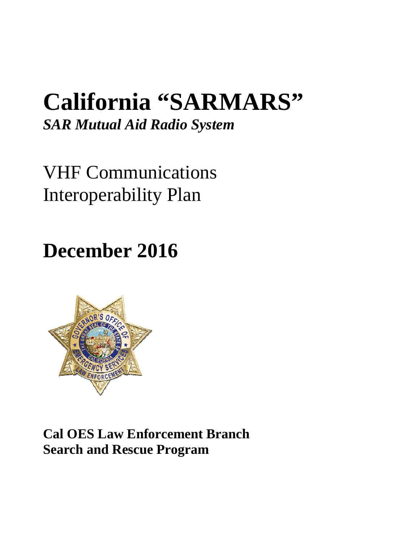# **California "SARMARS"**

*SAR Mutual Aid Radio System* 

VHF Communications Interoperability Plan

**December 2016** 



**Cal OES Law Enforcement Branch Search and Rescue Program**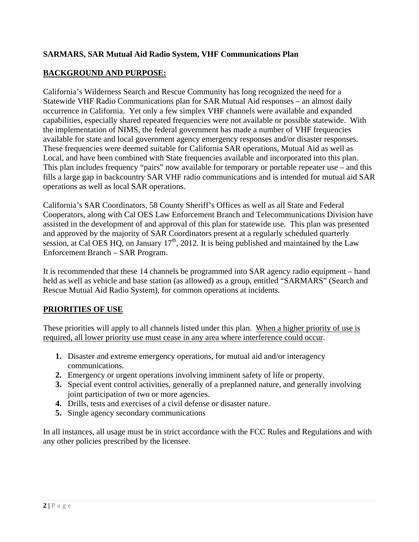### **SARMARS, SAR Mutual Aid Radio System, VHF Communications Plan**

## **BACKGROUND AND PURPOSE:**

California's Wilderness Search and Rescue Community has long recognized the need for a Statewide VHF Radio Communications plan for SAR Mutual Aid responses – an almost daily occurrence in California. Yet only a few simplex VHF channels were available and expanded capabilities, especially shared repeated frequencies were not available or possible statewide. With the implementation of NIMS, the federal government has made a number of VHF frequencies available for state and local government agency emergency responses and/or disaster responses. These frequencies were deemed suitable for California SAR operations, Mutual Aid as well as Local, and have been combined with State frequencies available and incorporated into this plan. This plan includes frequency "pairs" now available for temporary or portable repeater use – and this fills a large gap in backcountry SAR VHF radio communications and is intended for mutual aid SAR operations as well as local SAR operations.

California's SAR Coordinators, 58 County Sheriff's Offices as well as all State and Federal Cooperators, along with Cal OES Law Enforcement Branch and Telecommunications Division have assisted in the development of and approval of this plan for statewide use. This plan was presented and approved by the majority of SAR Coordinators present at a regularly scheduled quarterly session, at Cal OES HQ, on January  $17<sup>th</sup>$ , 2012. It is being published and maintained by the Law Enforcement Branch – SAR Program.

It is recommended that these 14 channels be programmed into SAR agency radio equipment – hand held as well as vehicle and base station (as allowed) as a group, entitled "SARMARS" (Search and Rescue Mutual Aid Radio System), for common operations at incidents.

#### **PRIORITIES OF USE**

These priorities will apply to all channels listed under this plan. When a higher priority of use is required, all lower priority use must cease in any area where interference could occur.

- **1.** Disaster and extreme emergency operations, for mutual aid and/or interagency communications.
- **2.** Emergency or urgent operations involving imminent safety of life or property.
- **3.** Special event control activities, generally of a preplanned nature, and generally involving joint participation of two or more agencies.
- **4.** Drills, tests and exercises of a civil defense or disaster nature.
- **5.** Single agency secondary communications

In all instances, all usage must be in strict accordance with the FCC Rules and Regulations and with any other policies prescribed by the licensee.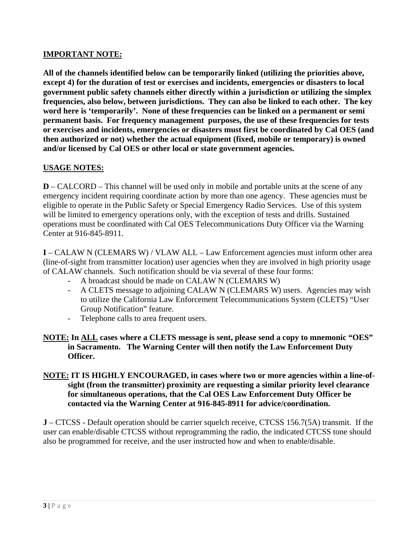#### **IMPORTANT NOTE:**

**All of the channels identified below can be temporarily linked (utilizing the priorities above, except 4) for the duration of test or exercises and incidents, emergencies or disasters to local government public safety channels either directly within a jurisdiction or utilizing the simplex frequencies, also below, between jurisdictions. They can also be linked to each other. The key word here is 'temporarily'. None of these frequencies can be linked on a permanent or semi permanent basis. For frequency management purposes, the use of these frequencies for tests or exercises and incidents, emergencies or disasters must first be coordinated by Cal OES (and then authorized or not) whether the actual equipment (fixed, mobile or temporary) is owned and/or licensed by Cal OES or other local or state government agencies.** 

#### **USAGE NOTES:**

**D** – CALCORD – This channel will be used only in mobile and portable units at the scene of any emergency incident requiring coordinate action by more than one agency. These agencies must be eligible to operate in the Public Safety or Special Emergency Radio Services. Use of this system will be limited to emergency operations only, with the exception of tests and drills. Sustained operations must be coordinated with Cal OES Telecommunications Duty Officer via the Warning Center at 916-845-8911.

**I** – CALAW N (CLEMARS W) / VLAW ALL – Law Enforcement agencies must inform other area (line-of-sight from transmitter location) user agencies when they are involved in high priority usage of CALAW channels. Such notification should be via several of these four forms:

- A broadcast should be made on CALAW N (CLEMARS W)
- A CLETS message to adjoining CALAW N (CLEMARS W) users. Agencies may wish to utilize the California Law Enforcement Telecommunications System (CLETS) "User Group Notification" feature.
- Telephone calls to area frequent users.

#### **NOTE: In ALL cases where a CLETS message is sent, please send a copy to mnemonic "OES" in Sacramento. The Warning Center will then notify the Law Enforcement Duty Officer.**

#### **NOTE: IT IS HIGHLY ENCOURAGED, in cases where two or more agencies within a line-ofsight (from the transmitter) proximity are requesting a similar priority level clearance for simultaneous operations, that the Cal OES Law Enforcement Duty Officer be contacted via the Warning Center at 916-845-8911 for advice/coordination.**

**J** – CTCSS - Default operation should be carrier squelch receive, CTCSS 156.7(5A) transmit. If the user can enable/disable CTCSS without reprogramming the radio, the indicated CTCSS tone should also be programmed for receive, and the user instructed how and when to enable/disable.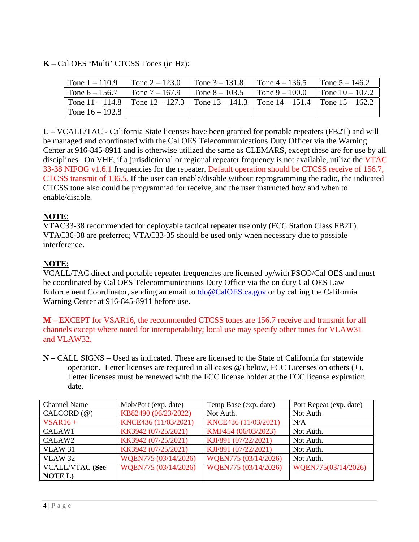**K –** Cal OES 'Multi' CTCSS Tones (in Hz):

| Tone $1 - 110.9$  | Tone $2 - 123.0$ | Tone $3 - 131.8$                                                                        | Tone $4 - 136.5$ | Tone $5 - 146.2$  |
|-------------------|------------------|-----------------------------------------------------------------------------------------|------------------|-------------------|
| Tone $6 - 156.7$  | Tone $7 - 167.9$ | Tone $8 - 103.5$                                                                        | Tone $9 - 100.0$ | Tone $10 - 107.2$ |
|                   |                  | Tone 11 – 114.8   Tone 12 – 127.3   Tone 13 – 141.3   Tone 14 – 151.4   Tone 15 – 162.2 |                  |                   |
| Tone $16 - 192.8$ |                  |                                                                                         |                  |                   |

**L** – VCALL/TAC - California State licenses have been granted for portable repeaters (FB2T) and will be managed and coordinated with the Cal OES Telecommunications Duty Officer via the Warning Center at 916-845-8911 and is otherwise utilized the same as CLEMARS, except these are for use by all disciplines. On VHF, if a jurisdictional or regional repeater frequency is not available, utilize the VTAC 33-38 NIFOG v1.6.1 frequencies for the repeater. Default operation should be CTCSS receive of 156.7, CTCSS transmit of 136.5. If the user can enable/disable without reprogramming the radio, the indicated CTCSS tone also could be programmed for receive, and the user instructed how and when to enable/disable.

# **NOTE:**

VTAC33-38 recommended for deployable tactical repeater use only (FCC Station Class FB2T). VTAC36-38 are preferred; VTAC33-35 should be used only when necessary due to possible interference.

# **NOTE:**

VCALL/TAC direct and portable repeater frequencies are licensed by/with PSCO/Cal OES and must be coordinated by Cal OES Telecommunications Duty Office via the on duty Cal OES Law Enforcement Coordinator, sending an email to **tdo**@CalOES.ca.gov or by calling the California Warning Center at 916-845-8911 before use.

**M** – EXCEPT for VSAR16, the recommended CTCSS tones are 156.7 receive and transmit for all channels except where noted for interoperability; local use may specify other tones for VLAW31 and VLAW32.

**N –** CALL SIGNS – Used as indicated. These are licensed to the State of California for statewide operation. Letter licenses are required in all cases @) below, FCC Licenses on others (+). Letter licenses must be renewed with the FCC license holder at the FCC license expiration date.

| <b>Channel Name</b>    | Mob/Port (exp. date) | Temp Base (exp. date) | Port Repeat (exp. date) |  |
|------------------------|----------------------|-----------------------|-------------------------|--|
| $CALCORD(\mathcal{Q})$ | KB82490 (06/23/2022) | Not Auth.             | Not Auth                |  |
| $VSAR16 +$             | KNCE436 (11/03/2021) | KNCE436 (11/03/2021)  | N/A                     |  |
| CALAW1                 | KK3942 (07/25/2021)  | KMF454 (06/03/2023)   | Not Auth.               |  |
| CALAW <sub>2</sub>     | KK3942 (07/25/2021)  | KJF891 (07/22/2021)   | Not Auth.               |  |
| <b>VLAW 31</b>         | KK3942 (07/25/2021)  | KJF891 (07/22/2021)   | Not Auth.               |  |
| <b>VLAW 32</b>         | WQEN775 (03/14/2026) | WQEN775 (03/14/2026)  | Not Auth.               |  |
| <b>VCALL/VTAC (See</b> | WQEN775 (03/14/2026) | WQEN775 (03/14/2026)  | WQEN775(03/14/2026)     |  |
| <b>NOTE L)</b>         |                      |                       |                         |  |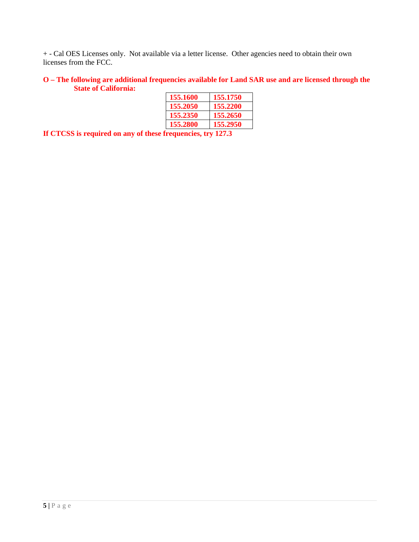+ - Cal OES Licenses only. Not available via a letter license. Other agencies need to obtain their own licenses from the FCC.

#### **O – The following are additional frequencies available for Land SAR use and are licensed through the State of California:**

| 155.1600 | 155,1750 |
|----------|----------|
| 155.2050 | 155,2200 |
| 155,2350 | 155,2650 |
| 155.2800 | 155.2950 |

**If CTCSS is required on any of these frequencies, try 127.3**